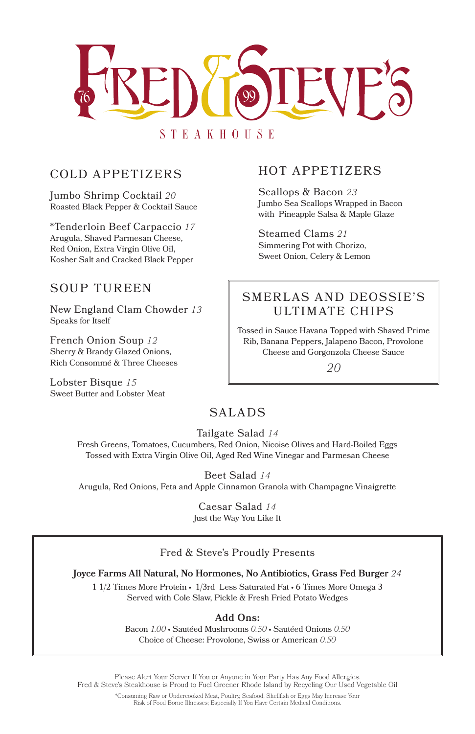

# COLD APPETIZERS

Jumbo Shrimp Cocktail *20* Roasted Black Pepper & Cocktail Sauce

\*Tenderloin Beef Carpaccio *17* Arugula, Shaved Parmesan Cheese, Red Onion, Extra Virgin Olive Oil, Kosher Salt and Cracked Black Pepper

## SOUP TUREEN

New England Clam Chowder *13* Speaks for Itself

French Onion Soup *12* Sherry & Brandy Glazed Onions, Rich Consommé & Three Cheeses

Lobster Bisque *15* Sweet Butter and Lobster Meat

# SALADS

Tailgate Salad *14*

Fresh Greens, Tomatoes, Cucumbers, Red Onion, Nicoise Olives and Hard-Boiled Eggs Tossed with Extra Virgin Olive Oil, Aged Red Wine Vinegar and Parmesan Cheese

## Beet Salad *14*

Arugula, Red Onions, Feta and Apple Cinnamon Granola with Champagne Vinaigrette

Caesar Salad *14* Just the Way You Like It

#### Fred & Steve's Proudly Presents

#### **Joyce Farms All Natural, No Hormones, No Antibiotics, Grass Fed Burger** *24*

1 1/2 Times More Protein • 1/3rd Less Saturated Fat • 6 Times More Omega 3 Served with Cole Slaw, Pickle & Fresh Fried Potato Wedges

### **Add Ons:**

Bacon *1.00* • Sautéed Mushrooms *0.50* • Sautéed Onions *0.50* Choice of Cheese: Provolone, Swiss or American *0.50*

Please Alert Your Server If You or Anyone in Your Party Has Any Food Allergies. Fred & Steve's Steakhouse is Proud to Fuel Greener Rhode Island by Recycling Our Used Vegetable Oil

> \*Consuming Raw or Undercooked Meat, Poultry, Seafood, Shellfish or Eggs May Increase Your Risk of Food Borne Illnesses; Especially If You Have Certain Medical Conditions.

# HOT APPETIZERS

Scallops & Bacon *23* Jumbo Sea Scallops Wrapped in Bacon with Pineapple Salsa & Maple Glaze

Steamed Clams *21* Simmering Pot with Chorizo, Sweet Onion, Celery & Lemon

# SMERLAS AND DEOSSIE'S ULTIM ATE CHIPS

Tossed in Sauce Havana Topped with Shaved Prime Rib, Banana Peppers, Jalapeno Bacon, Provolone Cheese and Gorgonzola Cheese Sauce

*20*